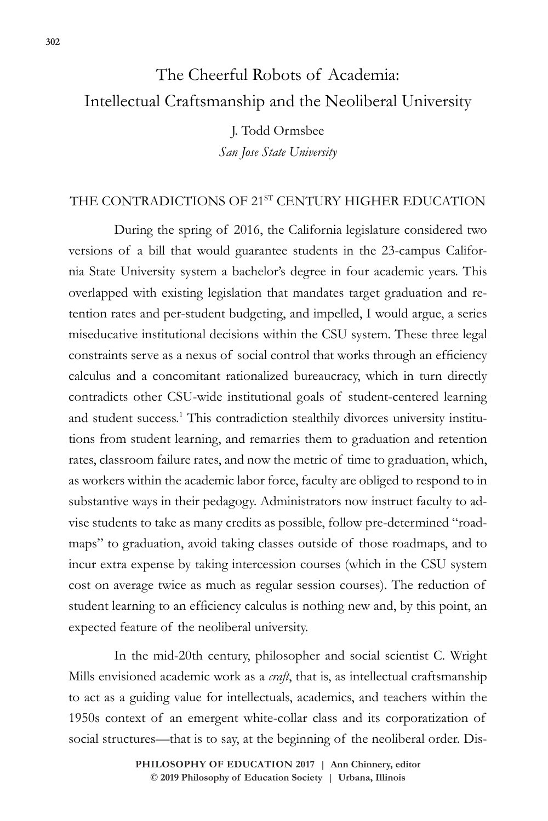# The Cheerful Robots of Academia: Intellectual Craftsmanship and the Neoliberal University

J. Todd Ormsbee *San Jose State University*

#### THE CONTRADICTIONS OF 21ST CENTURY HIGHER EDUCATION

During the spring of 2016, the California legislature considered two versions of a bill that would guarantee students in the 23-campus California State University system a bachelor's degree in four academic years. This overlapped with existing legislation that mandates target graduation and retention rates and per-student budgeting, and impelled, I would argue, a series miseducative institutional decisions within the CSU system. These three legal constraints serve as a nexus of social control that works through an efficiency calculus and a concomitant rationalized bureaucracy, which in turn directly contradicts other CSU-wide institutional goals of student-centered learning and student success.<sup>1</sup> This contradiction stealthily divorces university institutions from student learning, and remarries them to graduation and retention rates, classroom failure rates, and now the metric of time to graduation, which, as workers within the academic labor force, faculty are obliged to respond to in substantive ways in their pedagogy. Administrators now instruct faculty to advise students to take as many credits as possible, follow pre-determined "roadmaps" to graduation, avoid taking classes outside of those roadmaps, and to incur extra expense by taking intercession courses (which in the CSU system cost on average twice as much as regular session courses). The reduction of student learning to an efficiency calculus is nothing new and, by this point, an expected feature of the neoliberal university.

In the mid-20th century, philosopher and social scientist C. Wright Mills envisioned academic work as a *craft*, that is, as intellectual craftsmanship to act as a guiding value for intellectuals, academics, and teachers within the 1950s context of an emergent white-collar class and its corporatization of social structures—that is to say, at the beginning of the neoliberal order. Dis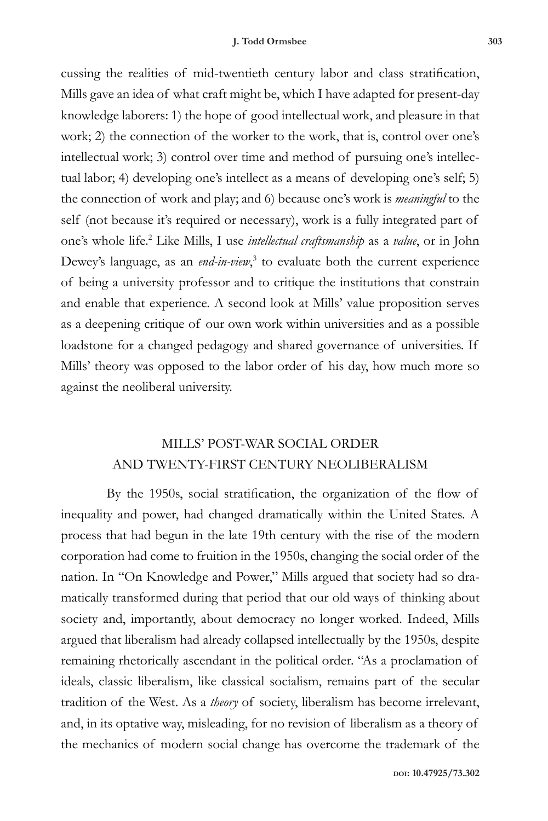cussing the realities of mid-twentieth century labor and class stratification, Mills gave an idea of what craft might be, which I have adapted for present-day knowledge laborers: 1) the hope of good intellectual work, and pleasure in that work; 2) the connection of the worker to the work, that is, control over one's intellectual work; 3) control over time and method of pursuing one's intellectual labor; 4) developing one's intellect as a means of developing one's self; 5) the connection of work and play; and 6) because one's work is *meaningful* to the self (not because it's required or necessary), work is a fully integrated part of one's whole life.2 Like Mills, I use *intellectual craftsmanship* as a *value*, or in John Dewey's language, as an *end-in-view*,<sup>3</sup> to evaluate both the current experience of being a university professor and to critique the institutions that constrain and enable that experience. A second look at Mills' value proposition serves as a deepening critique of our own work within universities and as a possible loadstone for a changed pedagogy and shared governance of universities. If Mills' theory was opposed to the labor order of his day, how much more so against the neoliberal university.

#### MILLS' POST-WAR SOCIAL ORDER AND TWENTY-FIRST CENTURY NEOLIBERALISM

By the 1950s, social stratification, the organization of the flow of inequality and power, had changed dramatically within the United States. A process that had begun in the late 19th century with the rise of the modern corporation had come to fruition in the 1950s, changing the social order of the nation. In "On Knowledge and Power," Mills argued that society had so dramatically transformed during that period that our old ways of thinking about society and, importantly, about democracy no longer worked. Indeed, Mills argued that liberalism had already collapsed intellectually by the 1950s, despite remaining rhetorically ascendant in the political order. "As a proclamation of ideals, classic liberalism, like classical socialism, remains part of the secular tradition of the West. As a *theory* of society, liberalism has become irrelevant, and, in its optative way, misleading, for no revision of liberalism as a theory of the mechanics of modern social change has overcome the trademark of the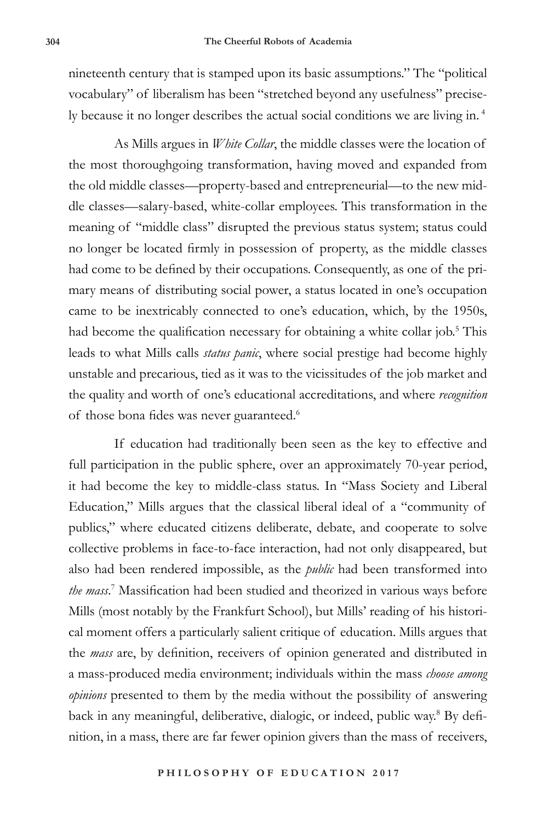nineteenth century that is stamped upon its basic assumptions." The "political vocabulary" of liberalism has been "stretched beyond any usefulness" precisely because it no longer describes the actual social conditions we are living in. <sup>4</sup>

As Mills argues in *White Collar*, the middle classes were the location of the most thoroughgoing transformation, having moved and expanded from the old middle classes—property-based and entrepreneurial—to the new middle classes—salary-based, white-collar employees. This transformation in the meaning of "middle class" disrupted the previous status system; status could no longer be located firmly in possession of property, as the middle classes had come to be defined by their occupations. Consequently, as one of the primary means of distributing social power, a status located in one's occupation came to be inextricably connected to one's education, which, by the 1950s, had become the qualification necessary for obtaining a white collar job.<sup>5</sup> This leads to what Mills calls *status panic*, where social prestige had become highly unstable and precarious, tied as it was to the vicissitudes of the job market and the quality and worth of one's educational accreditations, and where *recognition*  of those bona fides was never guaranteed.<sup>6</sup>

If education had traditionally been seen as the key to effective and full participation in the public sphere, over an approximately 70-year period, it had become the key to middle-class status. In "Mass Society and Liberal Education," Mills argues that the classical liberal ideal of a "community of publics," where educated citizens deliberate, debate, and cooperate to solve collective problems in face-to-face interaction, had not only disappeared, but also had been rendered impossible, as the *public* had been transformed into *the mass*. 7 Massification had been studied and theorized in various ways before Mills (most notably by the Frankfurt School), but Mills' reading of his historical moment offers a particularly salient critique of education. Mills argues that the *mass* are, by definition, receivers of opinion generated and distributed in a mass-produced media environment; individuals within the mass *choose among opinions* presented to them by the media without the possibility of answering back in any meaningful, deliberative, dialogic, or indeed, public way.<sup>8</sup> By definition, in a mass, there are far fewer opinion givers than the mass of receivers,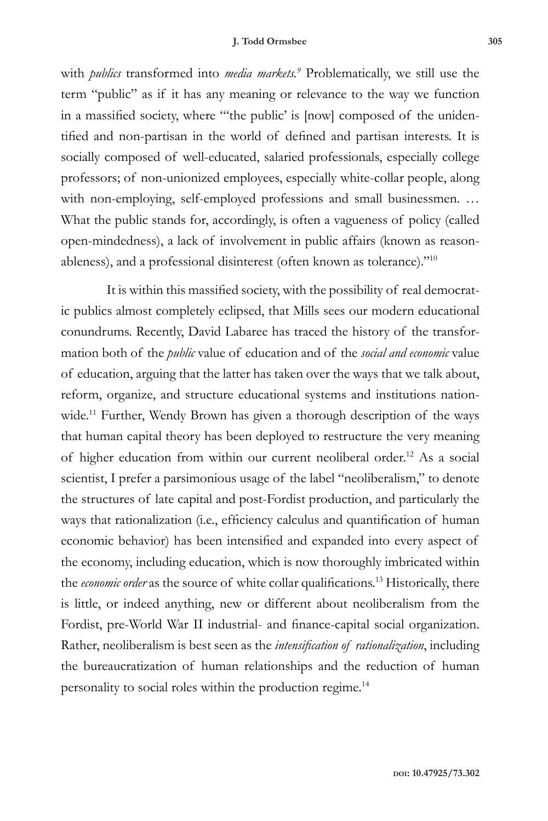#### **J. Todd Ormsbee 305**

with *publics* transformed into *media markets.*<sup>9</sup> Problematically, we still use the term "public" as if it has any meaning or relevance to the way we function in a massified society, where "'the public' is [now] composed of the unidentified and non-partisan in the world of defined and partisan interests. It is socially composed of well-educated, salaried professionals, especially college professors; of non-unionized employees, especially white-collar people, along with non-employing, self-employed professions and small businessmen. ... What the public stands for, accordingly, is often a vagueness of policy (called open-mindedness), a lack of involvement in public affairs (known as reasonableness), and a professional disinterest (often known as tolerance)."10

It is within this massified society, with the possibility of real democratic publics almost completely eclipsed, that Mills sees our modern educational conundrums. Recently, David Labaree has traced the history of the transformation both of the *public* value of education and of the *social and economic* value of education, arguing that the latter has taken over the ways that we talk about, reform, organize, and structure educational systems and institutions nationwide.<sup>11</sup> Further, Wendy Brown has given a thorough description of the ways that human capital theory has been deployed to restructure the very meaning of higher education from within our current neoliberal order.12 As a social scientist, I prefer a parsimonious usage of the label "neoliberalism," to denote the structures of late capital and post-Fordist production, and particularly the ways that rationalization (i.e., efficiency calculus and quantification of human economic behavior) has been intensified and expanded into every aspect of the economy, including education, which is now thoroughly imbricated within the *economic order* as the source of white collar qualifications.13 Historically, there is little, or indeed anything, new or different about neoliberalism from the Fordist, pre-World War II industrial- and finance-capital social organization. Rather, neoliberalism is best seen as the *intensification of rationalization*, including the bureaucratization of human relationships and the reduction of human personality to social roles within the production regime.14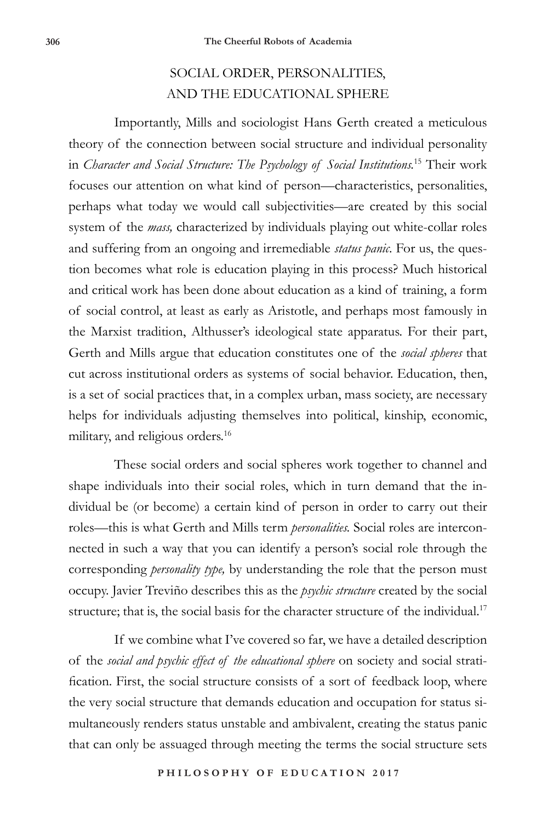### SOCIAL ORDER, PERSONALITIES, AND THE EDUCATIONAL SPHERE

Importantly, Mills and sociologist Hans Gerth created a meticulous theory of the connection between social structure and individual personality in *Character and Social Structure: The Psychology of Social Institutions.*15 Their work focuses our attention on what kind of person—characteristics, personalities, perhaps what today we would call subjectivities—are created by this social system of the *mass,* characterized by individuals playing out white-collar roles and suffering from an ongoing and irremediable *status panic*. For us, the question becomes what role is education playing in this process? Much historical and critical work has been done about education as a kind of training, a form of social control, at least as early as Aristotle, and perhaps most famously in the Marxist tradition, Althusser's ideological state apparatus. For their part, Gerth and Mills argue that education constitutes one of the *social spheres* that cut across institutional orders as systems of social behavior. Education, then, is a set of social practices that, in a complex urban, mass society, are necessary helps for individuals adjusting themselves into political, kinship, economic, military, and religious orders.<sup>16</sup>

These social orders and social spheres work together to channel and shape individuals into their social roles, which in turn demand that the individual be (or become) a certain kind of person in order to carry out their roles—this is what Gerth and Mills term *personalities.* Social roles are interconnected in such a way that you can identify a person's social role through the corresponding *personality type,* by understanding the role that the person must occupy. Javier Treviño describes this as the *psychic structure* created by the social structure; that is, the social basis for the character structure of the individual.<sup>17</sup>

If we combine what I've covered so far, we have a detailed description of the *social and psychic effect of the educational sphere* on society and social stratification. First, the social structure consists of a sort of feedback loop, where the very social structure that demands education and occupation for status simultaneously renders status unstable and ambivalent, creating the status panic that can only be assuaged through meeting the terms the social structure sets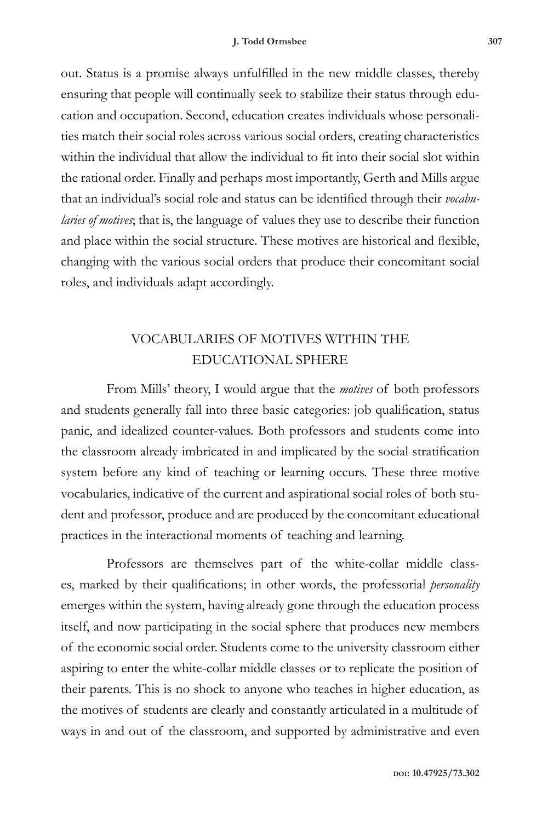out. Status is a promise always unfulfilled in the new middle classes, thereby ensuring that people will continually seek to stabilize their status through education and occupation. Second, education creates individuals whose personalities match their social roles across various social orders, creating characteristics within the individual that allow the individual to fit into their social slot within the rational order. Finally and perhaps most importantly, Gerth and Mills argue that an individual's social role and status can be identified through their *vocabularies of motives*; that is, the language of values they use to describe their function and place within the social structure. These motives are historical and flexible, changing with the various social orders that produce their concomitant social roles, and individuals adapt accordingly.

### VOCABULARIES OF MOTIVES WITHIN THE EDUCATIONAL SPHERE

From Mills' theory, I would argue that the *motives* of both professors and students generally fall into three basic categories: job qualification, status panic, and idealized counter-values. Both professors and students come into the classroom already imbricated in and implicated by the social stratification system before any kind of teaching or learning occurs. These three motive vocabularies, indicative of the current and aspirational social roles of both student and professor, produce and are produced by the concomitant educational practices in the interactional moments of teaching and learning.

Professors are themselves part of the white-collar middle classes, marked by their qualifications; in other words, the professorial *personality* emerges within the system, having already gone through the education process itself, and now participating in the social sphere that produces new members of the economic social order. Students come to the university classroom either aspiring to enter the white-collar middle classes or to replicate the position of their parents. This is no shock to anyone who teaches in higher education, as the motives of students are clearly and constantly articulated in a multitude of ways in and out of the classroom, and supported by administrative and even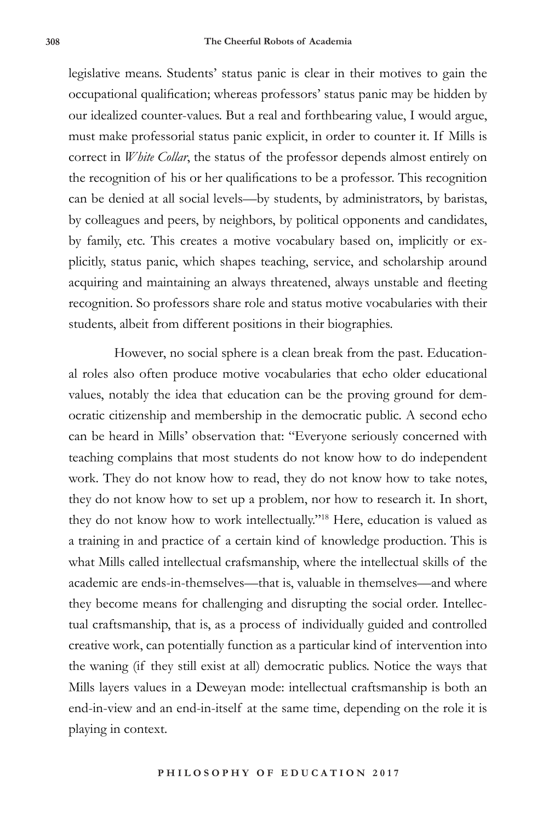legislative means. Students' status panic is clear in their motives to gain the occupational qualification; whereas professors' status panic may be hidden by our idealized counter-values. But a real and forthbearing value, I would argue, must make professorial status panic explicit, in order to counter it. If Mills is correct in *White Collar*, the status of the professor depends almost entirely on the recognition of his or her qualifications to be a professor. This recognition can be denied at all social levels—by students, by administrators, by baristas, by colleagues and peers, by neighbors, by political opponents and candidates, by family, etc. This creates a motive vocabulary based on, implicitly or explicitly, status panic, which shapes teaching, service, and scholarship around acquiring and maintaining an always threatened, always unstable and fleeting recognition. So professors share role and status motive vocabularies with their students, albeit from different positions in their biographies.

However, no social sphere is a clean break from the past. Educational roles also often produce motive vocabularies that echo older educational values, notably the idea that education can be the proving ground for democratic citizenship and membership in the democratic public. A second echo can be heard in Mills' observation that: "Everyone seriously concerned with teaching complains that most students do not know how to do independent work. They do not know how to read, they do not know how to take notes, they do not know how to set up a problem, nor how to research it. In short, they do not know how to work intellectually."18 Here, education is valued as a training in and practice of a certain kind of knowledge production. This is what Mills called intellectual crafsmanship, where the intellectual skills of the academic are ends-in-themselves—that is, valuable in themselves—and where they become means for challenging and disrupting the social order. Intellectual craftsmanship, that is, as a process of individually guided and controlled creative work, can potentially function as a particular kind of intervention into the waning (if they still exist at all) democratic publics. Notice the ways that Mills layers values in a Deweyan mode: intellectual craftsmanship is both an end-in-view and an end-in-itself at the same time, depending on the role it is playing in context.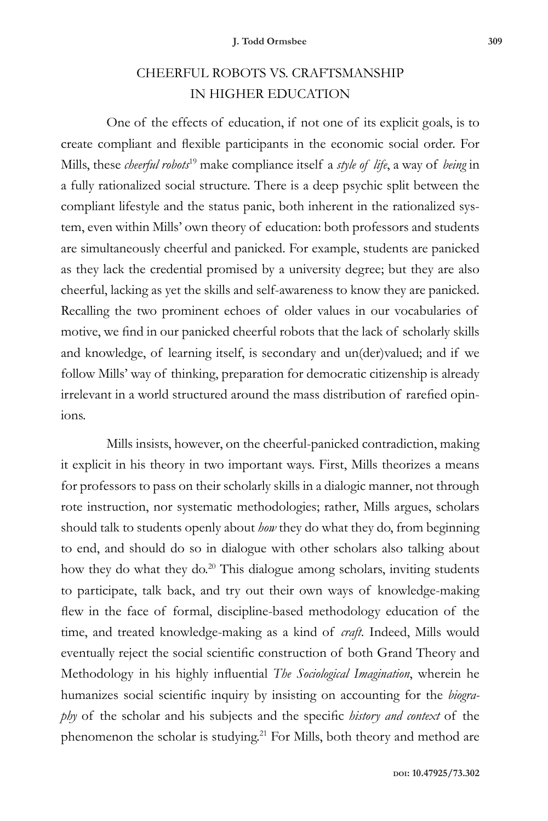## CHEERFUL ROBOTS VS. CRAFTSMANSHIP IN HIGHER EDUCATION

One of the effects of education, if not one of its explicit goals, is to create compliant and flexible participants in the economic social order. For Mills, these *cheerful robots*19 make compliance itself a *style of life*, a way of *being* in a fully rationalized social structure. There is a deep psychic split between the compliant lifestyle and the status panic, both inherent in the rationalized system, even within Mills' own theory of education: both professors and students are simultaneously cheerful and panicked. For example, students are panicked as they lack the credential promised by a university degree; but they are also cheerful, lacking as yet the skills and self-awareness to know they are panicked. Recalling the two prominent echoes of older values in our vocabularies of motive, we find in our panicked cheerful robots that the lack of scholarly skills and knowledge, of learning itself, is secondary and un(der)valued; and if we follow Mills' way of thinking, preparation for democratic citizenship is already irrelevant in a world structured around the mass distribution of rarefied opinions.

Mills insists, however, on the cheerful-panicked contradiction, making it explicit in his theory in two important ways. First, Mills theorizes a means for professors to pass on their scholarly skills in a dialogic manner, not through rote instruction, nor systematic methodologies; rather, Mills argues, scholars should talk to students openly about *how* they do what they do, from beginning to end, and should do so in dialogue with other scholars also talking about how they do what they do.<sup>20</sup> This dialogue among scholars, inviting students to participate, talk back, and try out their own ways of knowledge-making flew in the face of formal, discipline-based methodology education of the time, and treated knowledge-making as a kind of *craft*. Indeed, Mills would eventually reject the social scientific construction of both Grand Theory and Methodology in his highly influential *The Sociological Imagination*, wherein he humanizes social scientific inquiry by insisting on accounting for the *biography* of the scholar and his subjects and the specific *history and context* of the phenomenon the scholar is studying.<sup>21</sup> For Mills, both theory and method are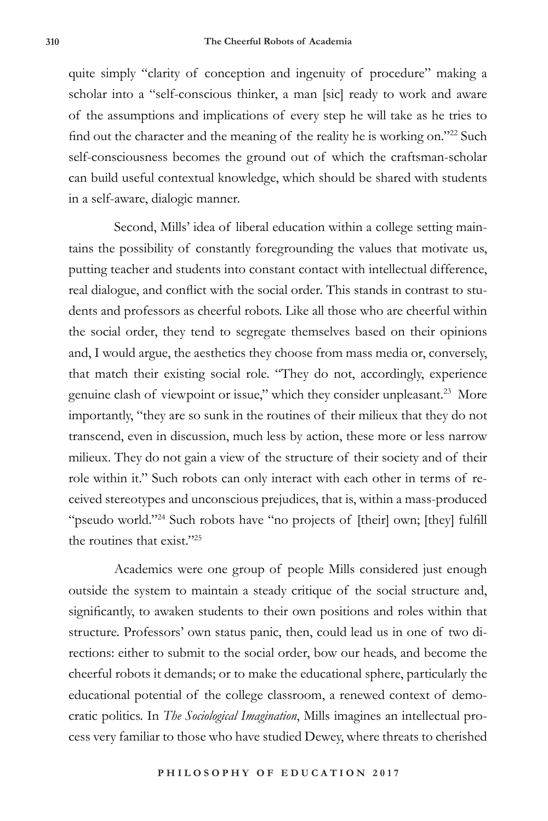quite simply "clarity of conception and ingenuity of procedure" making a scholar into a "self-conscious thinker, a man [sic] ready to work and aware of the assumptions and implications of every step he will take as he tries to find out the character and the meaning of the reality he is working on."22 Such self-consciousness becomes the ground out of which the craftsman-scholar can build useful contextual knowledge, which should be shared with students in a self-aware, dialogic manner.

Second, Mills' idea of liberal education within a college setting maintains the possibility of constantly foregrounding the values that motivate us, putting teacher and students into constant contact with intellectual difference, real dialogue, and conflict with the social order. This stands in contrast to students and professors as cheerful robots. Like all those who are cheerful within the social order, they tend to segregate themselves based on their opinions and, I would argue, the aesthetics they choose from mass media or, conversely, that match their existing social role. "They do not, accordingly, experience genuine clash of viewpoint or issue," which they consider unpleasant.<sup>23</sup> More importantly, "they are so sunk in the routines of their milieux that they do not transcend, even in discussion, much less by action, these more or less narrow milieux. They do not gain a view of the structure of their society and of their role within it." Such robots can only interact with each other in terms of received stereotypes and unconscious prejudices, that is, within a mass-produced "pseudo world."24 Such robots have "no projects of [their] own; [they] fulfill the routines that exist."25

Academics were one group of people Mills considered just enough outside the system to maintain a steady critique of the social structure and, significantly, to awaken students to their own positions and roles within that structure. Professors' own status panic, then, could lead us in one of two directions: either to submit to the social order, bow our heads, and become the cheerful robots it demands; or to make the educational sphere, particularly the educational potential of the college classroom, a renewed context of democratic politics. In *The Sociological Imagination*, Mills imagines an intellectual process very familiar to those who have studied Dewey, where threats to cherished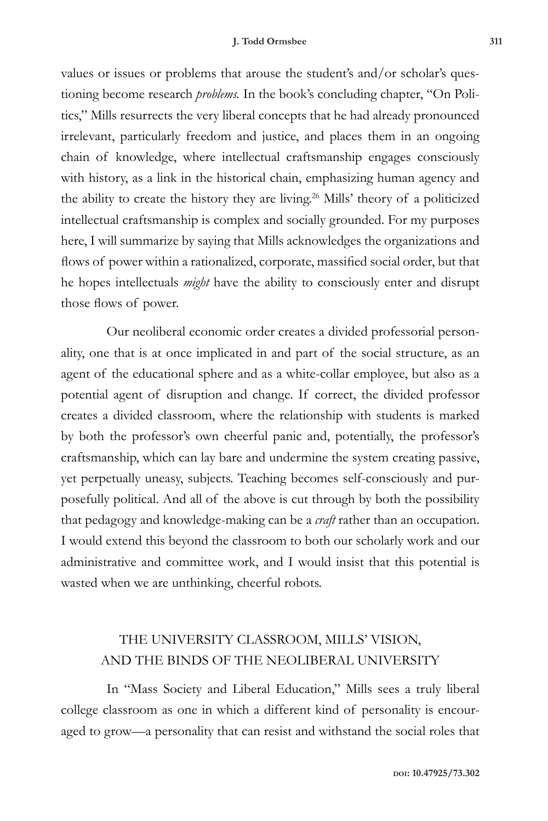#### **J. Todd Ormsbee 311**

values or issues or problems that arouse the student's and/or scholar's questioning become research *problems.* In the book's concluding chapter, "On Politics," Mills resurrects the very liberal concepts that he had already pronounced irrelevant, particularly freedom and justice, and places them in an ongoing chain of knowledge, where intellectual craftsmanship engages consciously with history, as a link in the historical chain, emphasizing human agency and the ability to create the history they are living.26 Mills' theory of a politicized intellectual craftsmanship is complex and socially grounded. For my purposes here, I will summarize by saying that Mills acknowledges the organizations and flows of power within a rationalized, corporate, massified social order, but that he hopes intellectuals *might* have the ability to consciously enter and disrupt those flows of power.

Our neoliberal economic order creates a divided professorial personality, one that is at once implicated in and part of the social structure, as an agent of the educational sphere and as a white-collar employee, but also as a potential agent of disruption and change. If correct, the divided professor creates a divided classroom, where the relationship with students is marked by both the professor's own cheerful panic and, potentially, the professor's craftsmanship, which can lay bare and undermine the system creating passive, yet perpetually uneasy, subjects. Teaching becomes self-consciously and purposefully political. And all of the above is cut through by both the possibility that pedagogy and knowledge-making can be a *craft* rather than an occupation. I would extend this beyond the classroom to both our scholarly work and our administrative and committee work, and I would insist that this potential is wasted when we are unthinking, cheerful robots.

#### THE UNIVERSITY CLASSROOM, MILLS' VISION, AND THE BINDS OF THE NEOLIBERAL UNIVERSITY

In "Mass Society and Liberal Education," Mills sees a truly liberal college classroom as one in which a different kind of personality is encouraged to grow—a personality that can resist and withstand the social roles that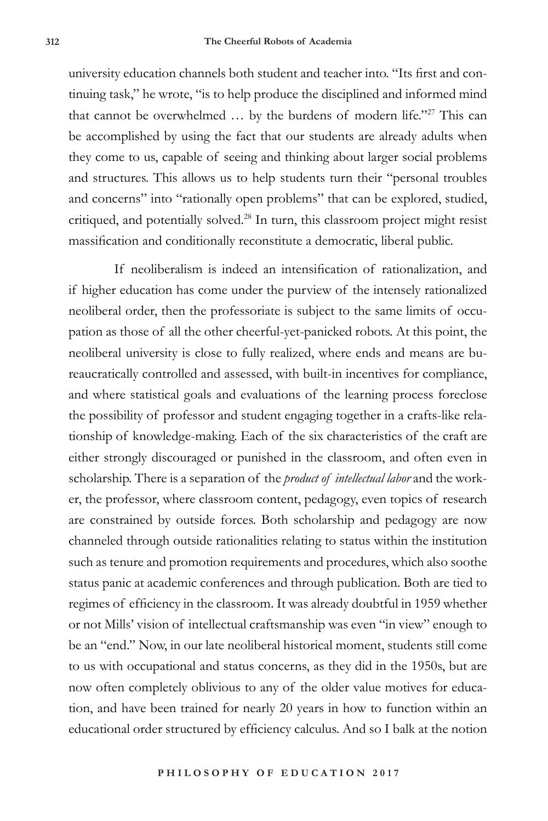university education channels both student and teacher into. "Its first and continuing task," he wrote, "is to help produce the disciplined and informed mind that cannot be overwhelmed ... by the burdens of modern life."<sup>27</sup> This can be accomplished by using the fact that our students are already adults when they come to us, capable of seeing and thinking about larger social problems and structures. This allows us to help students turn their "personal troubles and concerns" into "rationally open problems" that can be explored, studied, critiqued, and potentially solved.28 In turn, this classroom project might resist massification and conditionally reconstitute a democratic, liberal public.

If neoliberalism is indeed an intensification of rationalization, and if higher education has come under the purview of the intensely rationalized neoliberal order, then the professoriate is subject to the same limits of occupation as those of all the other cheerful-yet-panicked robots. At this point, the neoliberal university is close to fully realized, where ends and means are bureaucratically controlled and assessed, with built-in incentives for compliance, and where statistical goals and evaluations of the learning process foreclose the possibility of professor and student engaging together in a crafts-like relationship of knowledge-making. Each of the six characteristics of the craft are either strongly discouraged or punished in the classroom, and often even in scholarship. There is a separation of the *product of intellectual labor* and the worker, the professor, where classroom content, pedagogy, even topics of research are constrained by outside forces. Both scholarship and pedagogy are now channeled through outside rationalities relating to status within the institution such as tenure and promotion requirements and procedures, which also soothe status panic at academic conferences and through publication. Both are tied to regimes of efficiency in the classroom. It was already doubtful in 1959 whether or not Mills' vision of intellectual craftsmanship was even "in view" enough to be an "end." Now, in our late neoliberal historical moment, students still come to us with occupational and status concerns, as they did in the 1950s, but are now often completely oblivious to any of the older value motives for education, and have been trained for nearly 20 years in how to function within an educational order structured by efficiency calculus. And so I balk at the notion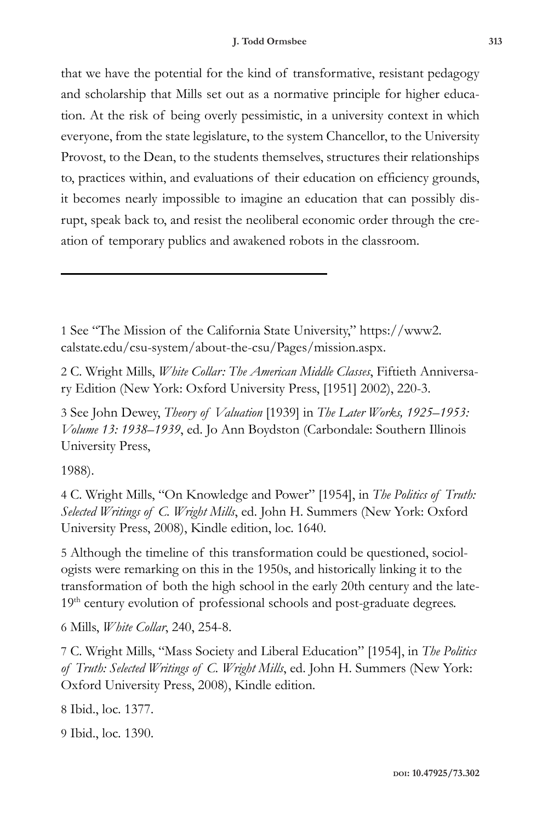that we have the potential for the kind of transformative, resistant pedagogy and scholarship that Mills set out as a normative principle for higher education. At the risk of being overly pessimistic, in a university context in which everyone, from the state legislature, to the system Chancellor, to the University Provost, to the Dean, to the students themselves, structures their relationships to, practices within, and evaluations of their education on efficiency grounds, it becomes nearly impossible to imagine an education that can possibly disrupt, speak back to, and resist the neoliberal economic order through the creation of temporary publics and awakened robots in the classroom.

1 See "The Mission of the California State University," https://www2. calstate.edu/csu-system/about-the-csu/Pages/mission.aspx.

2 C. Wright Mills, *White Collar: The American Middle Classes*, Fiftieth Anniversary Edition (New York: Oxford University Press, [1951] 2002), 220-3.

3 See John Dewey, *Theory of Valuation* [1939] in *The Later Works, 1925–1953: Volume 13: 1938–1939*, ed. Jo Ann Boydston (Carbondale: Southern Illinois University Press,

1988).

4 C. Wright Mills, "On Knowledge and Power" [1954], in *The Politics of Truth: Selected Writings of C. Wright Mills*, ed. John H. Summers (New York: Oxford University Press, 2008), Kindle edition, loc. 1640.

5 Although the timeline of this transformation could be questioned, sociologists were remarking on this in the 1950s, and historically linking it to the transformation of both the high school in the early 20th century and the late-19<sup>th</sup> century evolution of professional schools and post-graduate degrees.

6 Mills, *White Collar*, 240, 254-8.

7 C. Wright Mills, "Mass Society and Liberal Education" [1954], in *The Politics of Truth: Selected Writings of C. Wright Mills*, ed. John H. Summers (New York: Oxford University Press, 2008), Kindle edition.

8 Ibid., loc. 1377.

9 Ibid., loc. 1390.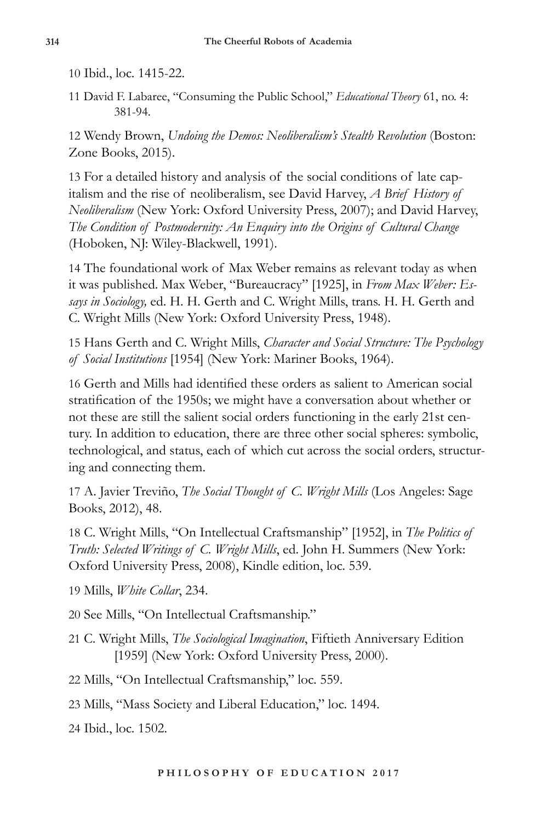10 Ibid., loc. 1415-22.

11 David F. Labaree, "Consuming the Public School," *Educational Theory* 61, no. 4: 381-94.

12 Wendy Brown, *Undoing the Demos: Neoliberalism's Stealth Revolution* (Boston: Zone Books, 2015).

13 For a detailed history and analysis of the social conditions of late capitalism and the rise of neoliberalism, see David Harvey, *A Brief History of Neoliberalism* (New York: Oxford University Press, 2007); and David Harvey, *The Condition of Postmodernity: An Enquiry into the Origins of Cultural Change* (Hoboken, NJ: Wiley-Blackwell, 1991).

14 The foundational work of Max Weber remains as relevant today as when it was published. Max Weber, "Bureaucracy" [1925], in *From Max Weber: Essays in Sociology,* ed. H. H. Gerth and C. Wright Mills, trans. H. H. Gerth and C. Wright Mills (New York: Oxford University Press, 1948).

15 Hans Gerth and C. Wright Mills, *Character and Social Structure: The Psychology of Social Institutions* [1954] (New York: Mariner Books, 1964).

16 Gerth and Mills had identified these orders as salient to American social stratification of the 1950s; we might have a conversation about whether or not these are still the salient social orders functioning in the early 21st century. In addition to education, there are three other social spheres: symbolic, technological, and status, each of which cut across the social orders, structuring and connecting them.

17 A. Javier Treviño, *The Social Thought of C. Wright Mills* (Los Angeles: Sage Books, 2012), 48.

18 C. Wright Mills, "On Intellectual Craftsmanship" [1952], in *The Politics of Truth: Selected Writings of C. Wright Mills*, ed. John H. Summers (New York: Oxford University Press, 2008), Kindle edition, loc. 539.

19 Mills, *White Collar*, 234.

20 See Mills, "On Intellectual Craftsmanship."

21 C. Wright Mills, *The Sociological Imagination*, Fiftieth Anniversary Edition [1959] (New York: Oxford University Press, 2000).

22 Mills, "On Intellectual Craftsmanship," loc. 559.

23 Mills, "Mass Society and Liberal Education," loc. 1494.

24 Ibid., loc. 1502.